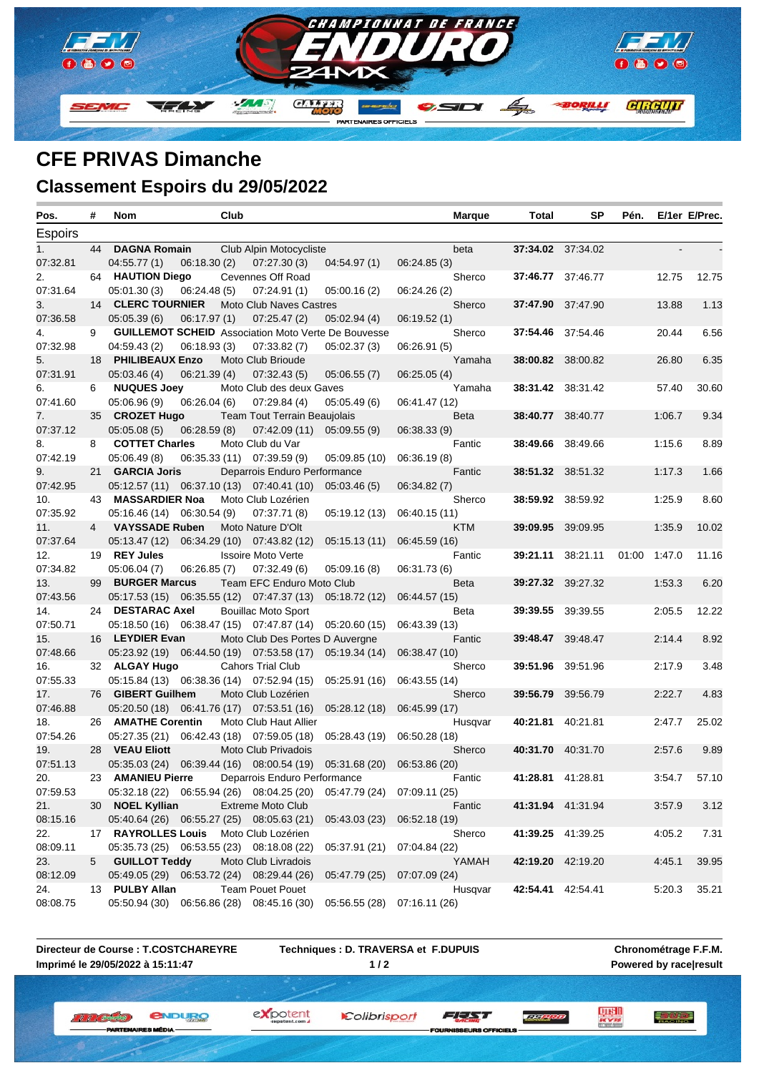

## **CFE PRIVAS Dimanche Classement Espoirs du 29/05/2022**

| Pos.           | #              | Nom                                                        | Club        |                                     |                             |               | <b>Marque</b> | Total    | SP                       | Pén.  |        | E/1er E/Prec. |
|----------------|----------------|------------------------------------------------------------|-------------|-------------------------------------|-----------------------------|---------------|---------------|----------|--------------------------|-------|--------|---------------|
| <b>Espoirs</b> |                |                                                            |             |                                     |                             |               |               |          |                          |       |        |               |
| 1.             | 44             | <b>DAGNA Romain</b>                                        |             | Club Alpin Motocycliste             |                             |               | beta          |          | 37:34.02 37:34.02        |       |        |               |
| 07:32.81       |                | 04:55.77(1)                                                | 06:18.30(2) | 07:27.30(3)                         | 04:54.97(1)                 | 06:24.85(3)   |               |          |                          |       |        |               |
| 2.             |                | 64 HAUTION Diego                                           |             | Cevennes Off Road                   |                             |               | Sherco        |          | 37:46.77 37:46.77        |       | 12.75  | 12.75         |
| 07:31.64       |                | 05:01.30(3)                                                | 06:24.48(5) | 07:24.91(1)                         | 05:00.16(2)                 | 06:24.26 (2)  |               |          |                          |       |        |               |
| 3.             | 14             | <b>CLERC TOURNIER</b>                                      |             | Moto Club Naves Castres             |                             |               | Sherco        |          | 37:47.90 37:47.90        |       | 13.88  | 1.13          |
| 07:36.58       |                | 05:05.39(6)                                                | 06:17.97(1) | 07:25.47(2)                         | 05:02.94(4)                 | 06:19.52(1)   |               |          |                          |       |        |               |
| 4.             | 9              | <b>GUILLEMOT SCHEID</b> Association Moto Verte De Bouvesse |             |                                     |                             |               | Sherco        |          | 37:54.46 37:54.46        |       | 20.44  | 6.56          |
| 07:32.98       |                | 04:59.43 (2)                                               | 06:18.93(3) | 07:33.82(7)                         | 05:02.37(3)                 | 06:26.91(5)   |               |          |                          |       |        |               |
| 5.             |                | 18 PHILIBEAUX Enzo                                         |             | Moto Club Brioude                   |                             |               | Yamaha        |          | 38:00.82 38:00.82        |       | 26.80  | 6.35          |
| 07:31.91       |                | 05:03.46(4)                                                | 06:21.39(4) | 07:32.43(5)                         | 05:06.55(7)                 | 06:25.05(4)   |               |          |                          |       |        |               |
| 6.             | 6              | <b>NUQUES Joey</b>                                         |             | Moto Club des deux Gaves            |                             |               | Yamaha        |          | 38:31.42 38:31.42        |       | 57.40  | 30.60         |
| 07:41.60       |                | 05:06.96 (9)                                               | 06:26.04(6) | 07:29.84(4)                         | 05:05.49(6)                 | 06:41.47 (12) |               |          |                          |       |        |               |
| 7.             |                | 35 CROZET Hugo                                             |             | <b>Team Tout Terrain Beaujolais</b> |                             |               | Beta          |          | <b>38:40.77</b> 38:40.77 |       | 1:06.7 | 9.34          |
| 07:37.12       |                | 05:05.08(5)                                                | 06:28.59(8) | 07:42.09 (11)                       | 05:09.55(9)                 | 06:38.33 (9)  |               |          |                          |       |        |               |
| 8.             | 8              | <b>COTTET Charles</b>                                      |             | Moto Club du Var                    |                             |               | Fantic        |          | <b>38:49.66</b> 38:49.66 |       | 1:15.6 | 8.89          |
| 07:42.19       |                | 05:06.49 (8)                                               |             | 06:35.33 (11) 07:39.59 (9)          | 05:09.85 (10)               | 06:36.19(8)   |               |          |                          |       |        |               |
| 9.             |                | 21 GARCIA Joris                                            |             | Deparrois Enduro Performance        |                             |               | Fantic        |          | 38:51.32 38:51.32        |       | 1:17.3 | 1.66          |
| 07:42.95       |                | 05:12.57 (11) 06:37.10 (13) 07:40.41 (10)                  |             |                                     | 05:03.46(5)                 | 06:34.82 (7)  |               |          |                          |       |        |               |
| 10.            |                | 43 MASSARDIER Noa                                          |             | Moto Club Lozérien                  |                             |               | Sherco        |          | <b>38:59.92</b> 38:59.92 |       | 1:25.9 | 8.60          |
| 07:35.92       |                | 05:16.46 (14) 06:30.54 (9)                                 |             | 07:37.71 (8)                        | 05:19.12 (13)               | 06:40.15 (11) |               |          |                          |       |        |               |
| 11.            | $\overline{4}$ | <b>VAYSSADE Ruben</b>                                      |             | Moto Nature D'Olt                   |                             |               | <b>KTM</b>    |          | 39:09.95 39:09.95        |       | 1:35.9 | 10.02         |
| 07:37.64       |                | 05:13.47 (12)                                              |             | 06:34.29 (10) 07:43.82 (12)         | 05:15.13(11)                | 06:45.59(16)  |               |          |                          |       |        |               |
| 12.            |                | 19 REY Jules                                               |             | <b>Issoire Moto Verte</b>           |                             |               | Fantic        |          | 39:21.11 38:21.11        | 01:00 | 1:47.0 | 11.16         |
| 07:34.82       |                | 05:06.04(7)                                                | 06:26.85(7) | 07:32.49(6)                         | 05:09.16(8)                 | 06:31.73 (6)  |               |          |                          |       |        |               |
| 13.            |                | 99 BURGER Marcus                                           |             | Team EFC Enduro Moto Club           |                             |               | Beta          |          | 39:27.32 39:27.32        |       | 1:53.3 | 6.20          |
| 07:43.56       |                | 05:17.53 (15) 06:35.55 (12) 07:47.37 (13) 05:18.72 (12)    |             |                                     |                             | 06:44.57 (15) |               |          |                          |       |        |               |
| 14.            |                | 24 DESTARAC Axel                                           |             | <b>Bouillac Moto Sport</b>          |                             |               | Beta          |          | <b>39:39.55</b> 39:39.55 |       | 2:05.5 | 12.22         |
| 07:50.71       |                | 05:18.50 (16) 06:38.47 (15) 07:47.87 (14) 05:20.60 (15)    |             |                                     |                             | 06:43.39 (13) |               |          |                          |       |        |               |
| 15.            |                | 16 LEYDIER Evan                                            |             | Moto Club Des Portes D Auvergne     |                             |               | Fantic        |          | 39:48.47 39:48.47        |       | 2:14.4 | 8.92          |
| 07:48.66       |                | 05:23.92 (19) 06:44.50 (19) 07:53.58 (17) 05:19.34 (14)    |             |                                     |                             | 06:38.47 (10) |               |          |                          |       |        |               |
| 16.            |                | 32 ALGAY Hugo                                              |             | <b>Cahors Trial Club</b>            |                             |               | Sherco        | 39:51.96 | 39:51.96                 |       | 2:17.9 | 3.48          |
| 07:55.33       |                | 05:15.84 (13) 06:38.36 (14) 07:52.94 (15)                  |             |                                     | 05:25.91 (16)               | 06:43.55 (14) |               |          |                          |       |        |               |
| 17.            | 76 -           | <b>GIBERT Guilhem</b>                                      |             | Moto Club Lozérien                  |                             |               | Sherco        |          | 39:56.79 39:56.79        |       | 2:22.7 | 4.83          |
| 07:46.88       |                | 05:20.50 (18) 06:41.76 (17)                                |             | 07:53.51 (16)                       | 05:28.12(18)                | 06:45.99 (17) |               |          |                          |       |        |               |
| 18.            |                | 26 AMATHE Corentin                                         |             | Moto Club Haut Allier               |                             |               | Husgvar       |          | 40:21.81 40:21.81        |       | 2:47.7 | 25.02         |
| 07:54.26       |                | 05:27.35 (21) 06:42.43 (18) 07:59.05 (18)                  |             |                                     | 05:28.43 (19)               | 06:50.28 (18) |               |          |                          |       |        |               |
| 19.            |                | 28 VEAU Eliott                                             |             | Moto Club Privadois                 |                             |               | Sherco        |          | 40:31.70 40:31.70        |       | 2:57.6 | 9.89          |
| 07:51.13       |                | 05:35.03 (24)  06:39.44 (16)  08:00.54 (19)  05:31.68 (20) |             |                                     |                             | 06:53.86 (20) |               |          |                          |       |        |               |
| 20.            |                | 23 AMANIEU Pierre                                          |             | Deparrois Enduro Performance        |                             |               | Fantic        |          | 41:28.81 41:28.81        |       | 3:54.7 | 57.10         |
| 07:59.53       |                | 05:32.18 (22) 06:55.94 (26) 08:04.25 (20)                  |             |                                     | 05:47.79 (24) 07:09.11 (25) |               |               |          |                          |       |        |               |
| 21.            |                | 30 NOEL Kyllian                                            |             | <b>Extreme Moto Club</b>            |                             |               | Fantic        |          | 41:31.94 41:31.94        |       | 3:57.9 | 3.12          |
| 08:15.16       |                | 05:40.64 (26) 06:55.27 (25) 08:05.63 (21)                  |             |                                     | 05:43.03 (23)               | 06:52.18 (19) |               |          |                          |       |        |               |
| 22.            |                | 17 RAYROLLES Louis                                         |             | Moto Club Lozérien                  |                             |               | Sherco        |          | 41:39.25 41:39.25        |       | 4:05.2 | 7.31          |
| 08:09.11       |                | 05:35.73 (25) 06:53.55 (23) 08:18.08 (22)                  |             |                                     | 05:37.91 (21)               | 07:04.84 (22) |               |          |                          |       |        |               |
| 23.            | 5              | <b>GUILLOT Teddy</b>                                       |             | Moto Club Livradois                 |                             |               | YAMAH         |          | 42:19.20 42:19.20        |       | 4:45.1 | 39.95         |
| 08:12.09       |                | 05:49.05 (29) 06:53.72 (24) 08:29.44 (26)                  |             |                                     | 05:47.79 (25)               | 07:07.09 (24) |               |          |                          |       |        |               |
| 24.            |                | 13 PULBY Allan                                             |             | <b>Team Pouet Pouet</b>             |                             |               | Husqvar       |          | 42:54.41 42:54.41        |       | 5:20.3 | 35.21         |
| 08:08.75       |                | 05:50.94 (30) 06:56.86 (28) 08:45.16 (30)                  |             |                                     | 05:56.55 (28) 07:16.11 (26) |               |               |          |                          |       |        |               |

**Directeur de Course : T.COSTCHAREYRE Imprimé le 29/05/2022 à 15:11:47**

ARTEM

**Techniques : D. TRAVERSA et F.DUPUIS 1 / 2**

**Chronométrage F.F.M. Powered by race|result**

*<u>ENDURO</u>* **II II (Breaster)** 

ES MÉDIA

expotent

Colibrisport

SEURS OFFICIELS

三方的过去

FEED

**LE PRO**